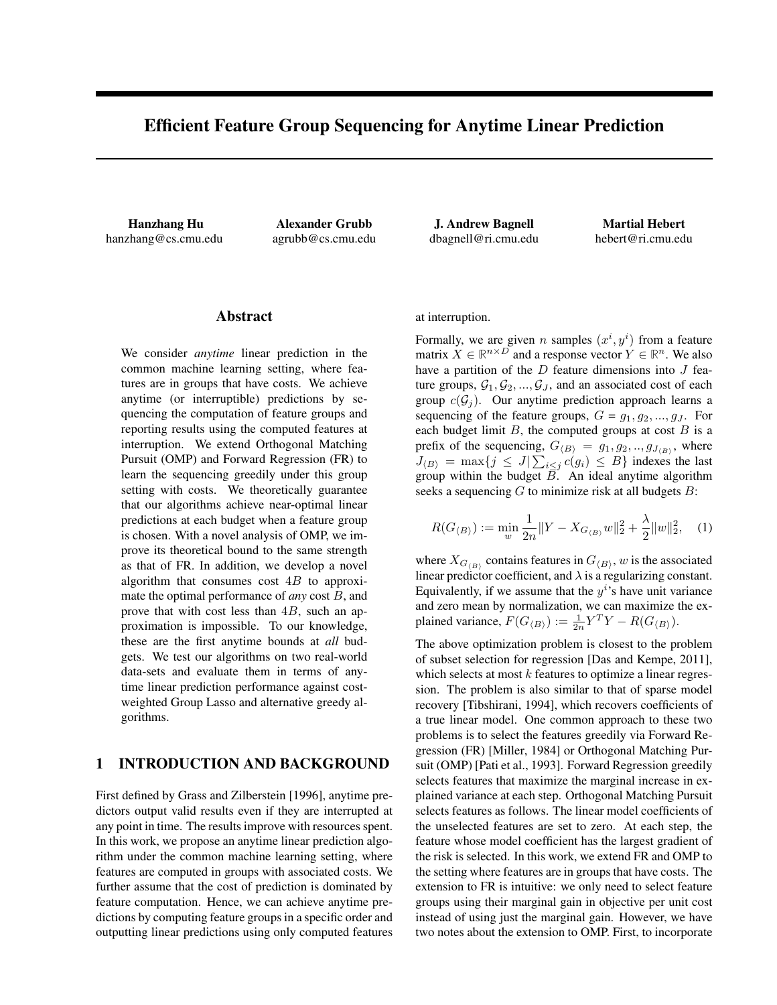# Efficient Feature Group Sequencing for Anytime Linear Prediction

Hanzhang Hu hanzhang@cs.cmu.edu

Alexander Grubb agrubb@cs.cmu.edu

J. Andrew Bagnell dbagnell@ri.cmu.edu

Martial Hebert hebert@ri.cmu.edu

## Abstract

We consider *anytime* linear prediction in the common machine learning setting, where features are in groups that have costs. We achieve anytime (or interruptible) predictions by sequencing the computation of feature groups and reporting results using the computed features at interruption. We extend Orthogonal Matching Pursuit (OMP) and Forward Regression (FR) to learn the sequencing greedily under this group setting with costs. We theoretically guarantee that our algorithms achieve near-optimal linear predictions at each budget when a feature group is chosen. With a novel analysis of OMP, we improve its theoretical bound to the same strength as that of FR. In addition, we develop a novel algorithm that consumes cost  $4B$  to approximate the optimal performance of *any* cost B, and prove that with cost less than  $4B$ , such an approximation is impossible. To our knowledge, these are the first anytime bounds at *all* budgets. We test our algorithms on two real-world data-sets and evaluate them in terms of anytime linear prediction performance against costweighted Group Lasso and alternative greedy algorithms.

# 1 INTRODUCTION AND BACKGROUND

First defined by Grass and Zilberstein [1996], anytime predictors output valid results even if they are interrupted at any point in time. The results improve with resources spent. In this work, we propose an anytime linear prediction algorithm under the common machine learning setting, where features are computed in groups with associated costs. We further assume that the cost of prediction is dominated by feature computation. Hence, we can achieve anytime predictions by computing feature groups in a specific order and outputting linear predictions using only computed features at interruption.

Formally, we are given *n* samples  $(x^i, y^i)$  from a feature matrix  $X \in \mathbb{R}^{n \times D}$  and a response vector  $Y \in \mathbb{R}^n$ . We also have a partition of the  $D$  feature dimensions into  $J$  feature groups,  $G_1, G_2, ..., G_J$ , and an associated cost of each group  $c(G_i)$ . Our anytime prediction approach learns a sequencing of the feature groups,  $G = g_1, g_2, ..., g_J$ . For each budget limit  $B$ , the computed groups at cost  $B$  is a prefix of the sequencing,  $G_{\langle B \rangle} = g_1, g_2, ..., g_{J_{\langle B \rangle}}$ , where  $J_{\langle B \rangle} = \max\{j \leq J | \sum_{i \leq j} c(g_i) \leq B\}$  indexes the last group within the budget  $\overline{B}$ . An ideal anytime algorithm seeks a sequencing  $G$  to minimize risk at all budgets  $B$ :

$$
R(G_{\langle B \rangle}) := \min_{w} \frac{1}{2n} \|Y - X_{G_{\langle B \rangle}} w\|_2^2 + \frac{\lambda}{2} \|w\|_2^2, \quad (1)
$$

where  $X_{G_{\langle B \rangle}}$  contains features in  $G_{\langle B \rangle}$ , w is the associated linear predictor coefficient, and  $\lambda$  is a regularizing constant. Equivalently, if we assume that the  $y^i$ 's have unit variance and zero mean by normalization, we can maximize the explained variance,  $F(G_{\langle B \rangle}) := \frac{1}{2n} Y^T Y - R(G_{\langle B \rangle})$ .

The above optimization problem is closest to the problem of subset selection for regression [Das and Kempe, 2011], which selects at most  $k$  features to optimize a linear regression. The problem is also similar to that of sparse model recovery [Tibshirani, 1994], which recovers coefficients of a true linear model. One common approach to these two problems is to select the features greedily via Forward Regression (FR) [Miller, 1984] or Orthogonal Matching Pursuit (OMP) [Pati et al., 1993]. Forward Regression greedily selects features that maximize the marginal increase in explained variance at each step. Orthogonal Matching Pursuit selects features as follows. The linear model coefficients of the unselected features are set to zero. At each step, the feature whose model coefficient has the largest gradient of the risk is selected. In this work, we extend FR and OMP to the setting where features are in groups that have costs. The extension to FR is intuitive: we only need to select feature groups using their marginal gain in objective per unit cost instead of using just the marginal gain. However, we have two notes about the extension to OMP. First, to incorporate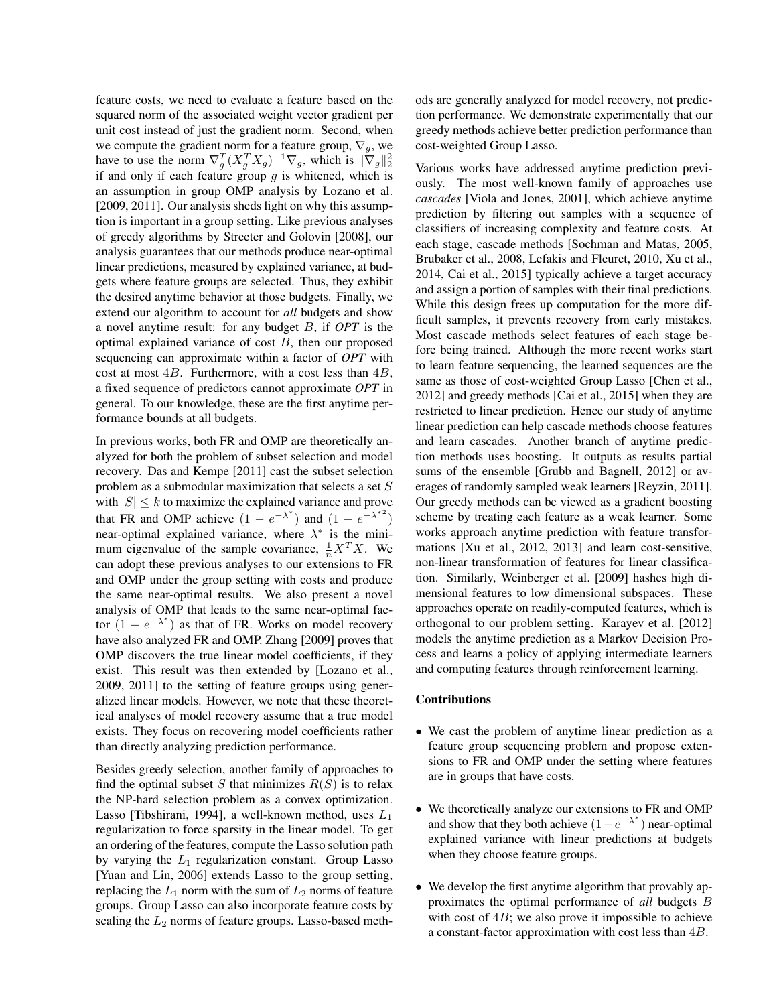feature costs, we need to evaluate a feature based on the squared norm of the associated weight vector gradient per unit cost instead of just the gradient norm. Second, when we compute the gradient norm for a feature group,  $\nabla_g$ , we have to use the norm  $\nabla_g^T (X_g^T X_g)^{-1} \nabla_g$ , which is  $\|\nabla_g\|_2^2$ if and only if each feature group  $q$  is whitened, which is an assumption in group OMP analysis by Lozano et al. [2009, 2011]. Our analysis sheds light on why this assumption is important in a group setting. Like previous analyses of greedy algorithms by Streeter and Golovin [2008], our analysis guarantees that our methods produce near-optimal linear predictions, measured by explained variance, at budgets where feature groups are selected. Thus, they exhibit the desired anytime behavior at those budgets. Finally, we extend our algorithm to account for *all* budgets and show a novel anytime result: for any budget B, if *OPT* is the optimal explained variance of cost  $B$ , then our proposed sequencing can approximate within a factor of *OPT* with cost at most  $4B$ . Furthermore, with a cost less than  $4B$ , a fixed sequence of predictors cannot approximate *OPT* in general. To our knowledge, these are the first anytime performance bounds at all budgets.

In previous works, both FR and OMP are theoretically analyzed for both the problem of subset selection and model recovery. Das and Kempe [2011] cast the subset selection problem as a submodular maximization that selects a set S with  $|S| \leq k$  to maximize the explained variance and prove that FR and OMP achieve  $(1 - e^{-\lambda^*})$  and  $(1 - e^{-\lambda^*})$ near-optimal explained variance, where  $\lambda^*$  is the minimum eigenvalue of the sample covariance,  $\frac{1}{n}X^TX$ . We can adopt these previous analyses to our extensions to FR and OMP under the group setting with costs and produce the same near-optimal results. We also present a novel analysis of OMP that leads to the same near-optimal factor  $(1 - e^{-\lambda^*})$  as that of FR. Works on model recovery have also analyzed FR and OMP. Zhang [2009] proves that OMP discovers the true linear model coefficients, if they exist. This result was then extended by [Lozano et al., 2009, 2011] to the setting of feature groups using generalized linear models. However, we note that these theoretical analyses of model recovery assume that a true model exists. They focus on recovering model coefficients rather than directly analyzing prediction performance.

Besides greedy selection, another family of approaches to find the optimal subset S that minimizes  $R(S)$  is to relax the NP-hard selection problem as a convex optimization. Lasso [Tibshirani, 1994], a well-known method, uses  $L_1$ regularization to force sparsity in the linear model. To get an ordering of the features, compute the Lasso solution path by varying the  $L_1$  regularization constant. Group Lasso [Yuan and Lin, 2006] extends Lasso to the group setting, replacing the  $L_1$  norm with the sum of  $L_2$  norms of feature groups. Group Lasso can also incorporate feature costs by scaling the  $L_2$  norms of feature groups. Lasso-based methods are generally analyzed for model recovery, not prediction performance. We demonstrate experimentally that our greedy methods achieve better prediction performance than cost-weighted Group Lasso.

Various works have addressed anytime prediction previously. The most well-known family of approaches use *cascades* [Viola and Jones, 2001], which achieve anytime prediction by filtering out samples with a sequence of classifiers of increasing complexity and feature costs. At each stage, cascade methods [Sochman and Matas, 2005, Brubaker et al., 2008, Lefakis and Fleuret, 2010, Xu et al., 2014, Cai et al., 2015] typically achieve a target accuracy and assign a portion of samples with their final predictions. While this design frees up computation for the more difficult samples, it prevents recovery from early mistakes. Most cascade methods select features of each stage before being trained. Although the more recent works start to learn feature sequencing, the learned sequences are the same as those of cost-weighted Group Lasso [Chen et al., 2012] and greedy methods [Cai et al., 2015] when they are restricted to linear prediction. Hence our study of anytime linear prediction can help cascade methods choose features and learn cascades. Another branch of anytime prediction methods uses boosting. It outputs as results partial sums of the ensemble [Grubb and Bagnell, 2012] or averages of randomly sampled weak learners [Reyzin, 2011]. Our greedy methods can be viewed as a gradient boosting scheme by treating each feature as a weak learner. Some works approach anytime prediction with feature transformations [Xu et al., 2012, 2013] and learn cost-sensitive, non-linear transformation of features for linear classification. Similarly, Weinberger et al. [2009] hashes high dimensional features to low dimensional subspaces. These approaches operate on readily-computed features, which is orthogonal to our problem setting. Karayev et al. [2012] models the anytime prediction as a Markov Decision Process and learns a policy of applying intermediate learners and computing features through reinforcement learning.

### Contributions

- We cast the problem of anytime linear prediction as a feature group sequencing problem and propose extensions to FR and OMP under the setting where features are in groups that have costs.
- We theoretically analyze our extensions to FR and OMP and show that they both achieve  $(1-e^{-\lambda^*})$  near-optimal explained variance with linear predictions at budgets when they choose feature groups.
- We develop the first anytime algorithm that provably approximates the optimal performance of *all* budgets B with cost of  $4B$ ; we also prove it impossible to achieve a constant-factor approximation with cost less than 4B.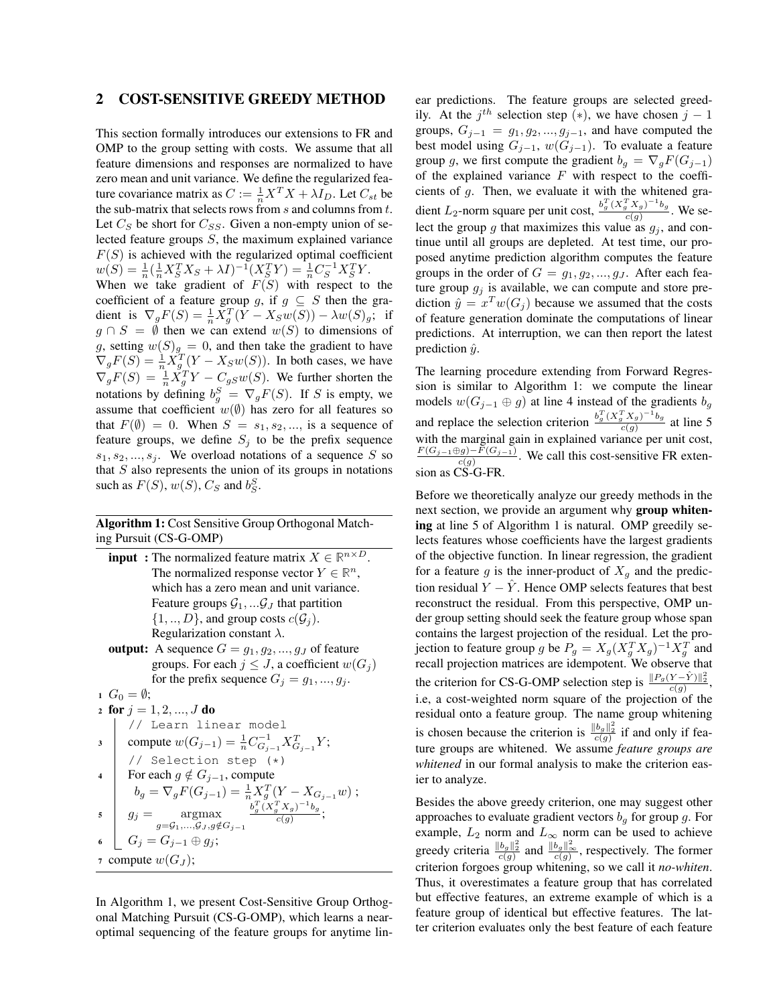## 2 COST-SENSITIVE GREEDY METHOD

This section formally introduces our extensions to FR and OMP to the group setting with costs. We assume that all feature dimensions and responses are normalized to have zero mean and unit variance. We define the regularized feature covariance matrix as  $C := \frac{1}{n} X^T X + \lambda I_D$ . Let  $C_{st}$  be the sub-matrix that selects rows from  $s$  and columns from  $t$ . Let  $C_S$  be short for  $C_{SS}$ . Given a non-empty union of selected feature groups S, the maximum explained variance  $F(S)$  is achieved with the regularized optimal coefficient  $w(S) = \frac{1}{n} (\frac{1}{n} X_S^T X_S + \lambda I)^{-1} (X_S^T Y) = \frac{1}{n} C_S^{-1} X_S^T Y.$ When we take gradient of  $F(S)$  with respect to the coefficient of a feature group g, if  $g \subseteq S$  then the gradient is  $\nabla_g F(S) = \frac{1}{n} X_g^T (Y - X_S w(S)) - \lambda w(S)_g;$  if  $g \cap S = \emptyset$  then we can extend  $w(S)$  to dimensions of g, setting  $w(S)_{g} = 0$ , and then take the gradient to have  $\nabla_g F(S) = \frac{1}{n} \dot{X}_g^T (Y - X_S w(S))$ . In both cases, we have  $\nabla_g F(S) = \frac{1}{n} \dot{X}_g^T Y - C_{gS} w(S)$ . We further shorten the notations by defining  $b_g^S = \nabla_g F(S)$ . If S is empty, we assume that coefficient  $w(\emptyset)$  has zero for all features so that  $F(\emptyset) = 0$ . When  $S = s_1, s_2, \dots$ , is a sequence of feature groups, we define  $S_i$  to be the prefix sequence  $s_1, s_2, \ldots, s_j$ . We overload notations of a sequence S so that  $S$  also represents the union of its groups in notations such as  $F(S)$ ,  $w(S)$ ,  $C_S$  and  $b_S^S$ .

## Algorithm 1: Cost Sensitive Group Orthogonal Matching Pursuit (CS-G-OMP)

- **input**: The normalized feature matrix  $X \in \mathbb{R}^{n \times D}$ . The normalized response vector  $Y \in \mathbb{R}^n$ , which has a zero mean and unit variance. Feature groups  $G_1, \ldots, G_J$  that partition  $\{1,..,D\}$ , and group costs  $c(G_i)$ . Regularization constant  $\lambda$ . output: A sequence  $G = g_1, g_2, ..., g_J$  of feature
- groups. For each  $j \leq J$ , a coefficient  $w(G_i)$ for the prefix sequence  $G_j = g_1, ..., g_j$ .

$$
G_0 = \emptyset;
$$
\n
$$
\begin{array}{c}\n\text{for } j = 1, 2, ..., J \text{ do} \\
\hline\n\end{array}
$$
\n
$$
\begin{array}{c}\n\text{for } j = 1, 2, ..., J \text{ do} \\
\hline\n\end{array}
$$
\n
$$
\begin{array}{c}\n\text{compute } w(G_{j-1}) = \frac{1}{n} C_{G_{j-1}}^{-1} X_{G_{j-1}}^T Y; \\
\hline\n\end{array}
$$
\n
$$
\begin{array}{c}\n\text{for each } g \notin G_{j-1}, \text{compute} \\
\hline\nb_g = \nabla_g F(G_{j-1}) = \frac{1}{n} X_g^T (Y - X_{G_{j-1}} w); \\
\hline\ng_j = \operatorname*{argmax}_{g = G_1, ..., G_J, g \notin G_{j-1}} \frac{b_g^T (X_g^T X_g)^{-1} b_g}{c(g)}; \\
\hline\n\end{array}
$$
\n
$$
\begin{array}{c}\n\text{where } w(G_J); \\
\hline\n\end{array}
$$

In Algorithm 1, we present Cost-Sensitive Group Orthogonal Matching Pursuit (CS-G-OMP), which learns a nearoptimal sequencing of the feature groups for anytime linear predictions. The feature groups are selected greedily. At the  $j^{th}$  selection step (\*), we have chosen  $j - 1$ groups,  $G_{j-1} = g_1, g_2, ..., g_{j-1}$ , and have computed the best model using  $G_{j-1}$ ,  $w(G_{j-1})$ . To evaluate a feature group g, we first compute the gradient  $b_g = \nabla_g F(G_{j-1})$ of the explained variance  $F$  with respect to the coefficients of g. Then, we evaluate it with the whitened gradient L<sub>2</sub>-norm square per unit cost,  $\frac{b_g^T (X_g^T X_g)^{-1} b_g}{c(g)}$ c(g) . We select the group  $g$  that maximizes this value as  $g_j$ , and continue until all groups are depleted. At test time, our proposed anytime prediction algorithm computes the feature groups in the order of  $G = g_1, g_2, ..., g_J$ . After each feature group  $g_j$  is available, we can compute and store prediction  $\hat{y} = x^T w(G_j)$  because we assumed that the costs of feature generation dominate the computations of linear predictions. At interruption, we can then report the latest prediction  $\hat{y}$ .

The learning procedure extending from Forward Regression is similar to Algorithm 1: we compute the linear models  $w(G_{j-1} \oplus g)$  at line 4 instead of the gradients  $b_g$ and replace the selection criterion  $\frac{b_g^T (X_g^T X_g)^{-1} b_g}{c(g)}$  $\frac{c(g)}{c(g)}$  at line 5 with the marginal gain in explained variance per unit cost,  $\frac{F(G_{j-1} \oplus g) - F(G_{j-1})}{c(g)}$ . We call this cost-sensitive FR extension as CS-G-FR.

Before we theoretically analyze our greedy methods in the next section, we provide an argument why group whitening at line 5 of Algorithm 1 is natural. OMP greedily selects features whose coefficients have the largest gradients of the objective function. In linear regression, the gradient for a feature g is the inner-product of  $X<sub>g</sub>$  and the prediction residual  $Y - \hat{Y}$ . Hence OMP selects features that best reconstruct the residual. From this perspective, OMP under group setting should seek the feature group whose span contains the largest projection of the residual. Let the projection to feature group g be  $P_g = X_g (X_g^T X_g)^{-1} X_g^T$  and recall projection matrices are idempotent. We observe that the criterion for CS-G-OMP selection step is  $\frac{\|P_g(Y-\hat{Y})\|_2^2}{c(g)}$ , i.e, a cost-weighted norm square of the projection of the residual onto a feature group. The name group whitening is chosen because the criterion is  $\frac{\|b_g\|_2^2}{c(g)}$  if and only if feature groups are whitened. We assume *feature groups are whitened* in our formal analysis to make the criterion easier to analyze.

Besides the above greedy criterion, one may suggest other approaches to evaluate gradient vectors  $b<sub>q</sub>$  for group g. For example,  $L_2$  norm and  $L_{\infty}$  norm can be used to achieve greedy criteria  $\frac{\|b_g\|_2^2}{c(g)}$  and  $\frac{\|b_g\|_{\infty}^2}{c(g)}$ , respectively. The former criterion forgoes group whitening, so we call it *no-whiten*. Thus, it overestimates a feature group that has correlated but effective features, an extreme example of which is a feature group of identical but effective features. The latter criterion evaluates only the best feature of each feature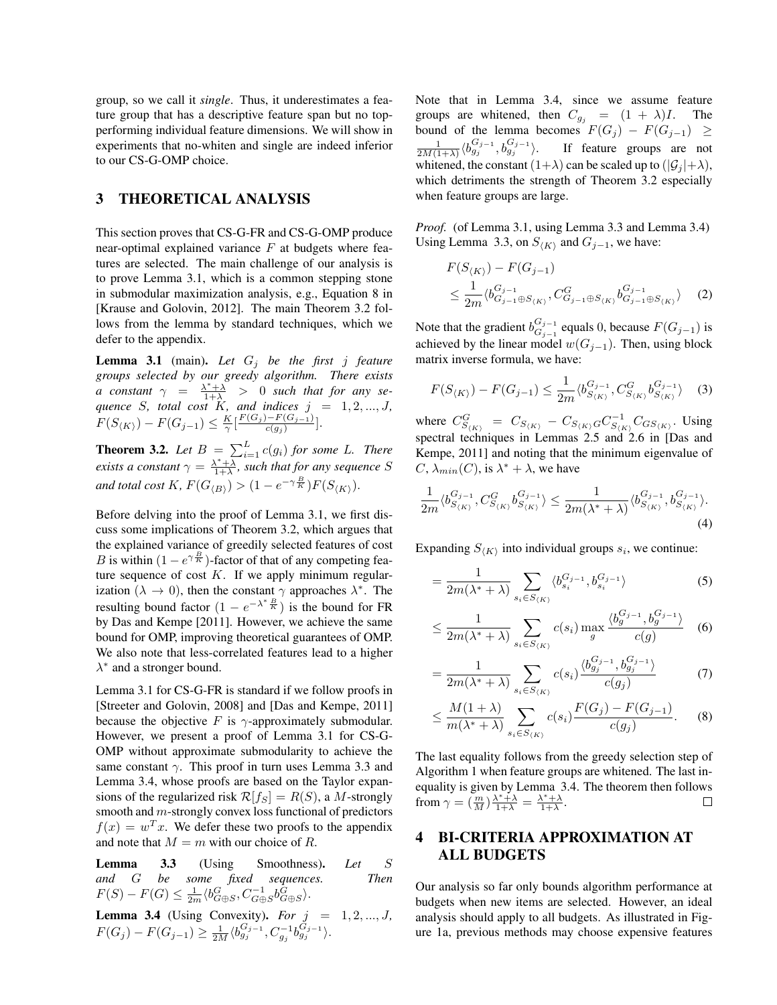group, so we call it *single*. Thus, it underestimates a feature group that has a descriptive feature span but no topperforming individual feature dimensions. We will show in experiments that no-whiten and single are indeed inferior to our CS-G-OMP choice.

# 3 THEORETICAL ANALYSIS

This section proves that CS-G-FR and CS-G-OMP produce near-optimal explained variance  $F$  at budgets where features are selected. The main challenge of our analysis is to prove Lemma 3.1, which is a common stepping stone in submodular maximization analysis, e.g., Equation 8 in [Krause and Golovin, 2012]. The main Theorem 3.2 follows from the lemma by standard techniques, which we defer to the appendix.

**Lemma 3.1** (main). Let  $G_j$  be the first j feature *groups selected by our greedy algorithm. There exists a* constant  $\gamma = \frac{\lambda^* + \lambda}{1 + \lambda} > 0$  such that for any se*quence* S, total cost K, and indices  $j = 1, 2, ..., J$ ,  $F(S_{\langle K \rangle}) - F(G_{j-1}) \leq \frac{K}{\gamma} \left[ \frac{F(G_j) - F(G_{j-1})}{c(g_j)} \right]$  $\frac{(-r(G_{j-1})}{c(g_j)}$ .

**Theorem 3.2.** Let  $B = \sum_{i=1}^{L} c(g_i)$  for some L. There *exists a constant*  $\gamma = \frac{\lambda^* + \lambda}{1 + \lambda}$ *, such that for any sequence S and total cost*  $K$ ,  $F(G_{\langle B \rangle}) > (1 - e^{-\gamma \frac{B}{K}})F(S_{\langle K \rangle}).$ 

Before delving into the proof of Lemma 3.1, we first discuss some implications of Theorem 3.2, which argues that the explained variance of greedily selected features of cost B is within  $(1 - e^{\gamma \frac{B}{K}})$ -factor of that of any competing feature sequence of cost  $K$ . If we apply minimum regularization ( $\lambda \to 0$ ), then the constant  $\gamma$  approaches  $\lambda^*$ . The resulting bound factor  $(1 - e^{-\lambda^* \frac{B}{K}})$  is the bound for FR by Das and Kempe [2011]. However, we achieve the same bound for OMP, improving theoretical guarantees of OMP. We also note that less-correlated features lead to a higher  $\lambda^*$  and a stronger bound.

Lemma 3.1 for CS-G-FR is standard if we follow proofs in [Streeter and Golovin, 2008] and [Das and Kempe, 2011] because the objective F is  $\gamma$ -approximately submodular. However, we present a proof of Lemma 3.1 for CS-G-OMP without approximate submodularity to achieve the same constant  $\gamma$ . This proof in turn uses Lemma 3.3 and Lemma 3.4, whose proofs are based on the Taylor expansions of the regularized risk  $\mathcal{R}[f_S] = R(S)$ , a M-strongly smooth and m-strongly convex loss functional of predictors  $f(x) = w<sup>T</sup> x$ . We defer these two proofs to the appendix and note that  $M = m$  with our choice of R.

Lemma 3.3 (Using Smoothness). *Let* S *and* G *be some fixed sequences. Then*  $F(S) - F(G) \leq \frac{1}{2m} \langle b_{G \oplus S}^G, C_{G \oplus S}^{-1} b_{G \oplus S}^{\overline{G}} \rangle.$ 

**Lemma 3.4** (Using Convexity). For  $j = 1, 2, ..., J$ ,  $F(G_j) - F(G_{j-1}) \geq \frac{1}{2M} \langle b_{g_j}^{G_{j-1}}, C_{g_j}^{-1} b_{g_j}^{G_{j-1}} \rangle.$ 

Note that in Lemma 3.4, since we assume feature groups are whitened, then  $C_{g_j} = (1 + \lambda)I$ . The bound of the lemma becomes  $F(G_j) - F(G_{j-1}) \geq$  $\frac{1}{2M(1+\lambda)}\langle b^{G_{j-1}}_{g_j}, b^{G_{j-1}}_{g_j}$ If feature groups are not whitened, the constant  $(1+\lambda)$  can be scaled up to  $(|\mathcal{G}_i|+\lambda)$ , which detriments the strength of Theorem 3.2 especially when feature groups are large.

*Proof.* (of Lemma 3.1, using Lemma 3.3 and Lemma 3.4) Using Lemma 3.3, on  $S_{\langle K \rangle}$  and  $G_{j-1}$ , we have:

$$
F(S_{\langle K \rangle}) - F(G_{j-1})
$$
  
\n
$$
\leq \frac{1}{2m} \langle b_{G_{j-1} \oplus S_{\langle K \rangle}}^{G_{j-1}}, C_{G_{j-1} \oplus S_{\langle K \rangle}}^{G} b_{G_{j-1} \oplus S_{\langle K \rangle}}^{G_{j-1}} \rangle
$$
 (2)

Note that the gradient  $b_{Gj-1}^{G_{j-1}}$  $G_{j-1}^{G_j-1}$  equals 0, because  $F(G_{j-1})$  is achieved by the linear model  $w(G_{i-1})$ . Then, using block matrix inverse formula, we have:

$$
F(S_{\langle K \rangle}) - F(G_{j-1}) \le \frac{1}{2m} \langle b_{S_{\langle K \rangle}}^{G_{j-1}}, C_{S_{\langle K \rangle}}^{G} b_{S_{\langle K \rangle}}^{G_{j-1}} \rangle \quad (3)
$$

where  $C_{S_{(K)}}^G = C_{S_{(K)}} - C_{S_{(K)}} G_{S_{(K)}}^{-1} C_{GS_{(K)}}$ . Using spectral techniques in Lemmas 2.5 and 2.6 in [Das and Kempe, 2011] and noting that the minimum eigenvalue of  $C, \lambda_{min}(C)$ , is  $\lambda^* + \lambda$ , we have

$$
\frac{1}{2m} \langle b_{S_{\langle K \rangle}}^{G_{j-1}}, C_{S_{\langle K \rangle}}^{G} b_{S_{\langle K \rangle}}^{G_{j-1}} \rangle \le \frac{1}{2m(\lambda^* + \lambda)} \langle b_{S_{\langle K \rangle}}^{G_{j-1}}, b_{S_{\langle K \rangle}}^{G_{j-1}} \rangle. \tag{4}
$$

Expanding  $S_{\langle K \rangle}$  into individual groups  $s_i$ , we continue:

$$
=\frac{1}{2m(\lambda^*+\lambda)}\sum_{s_i\in S_{\langle K\rangle}}\langle b_{s_i}^{G_{j-1}},b_{s_i}^{G_{j-1}}\rangle\tag{5}
$$

$$
\leq \frac{1}{2m(\lambda^* + \lambda)} \sum_{s_i \in S_{\langle K \rangle}} c(s_i) \max_g \frac{\langle b_g^{G_{j-1}}, b_g^{G_{j-1}} \rangle}{c(g)} \quad (6)
$$

$$
= \frac{1}{2m(\lambda^* + \lambda)} \sum_{s_i \in S_{\langle K \rangle}} c(s_i) \frac{\langle b_{g_j}^{G_{j-1}}, b_{g_j}^{G_{j-1}} \rangle}{c(g_j)}
$$
(7)

$$
\leq \frac{M(1+\lambda)}{m(\lambda^*+\lambda)} \sum_{s_i \in S_{\langle K \rangle}} c(s_i) \frac{F(G_j) - F(G_{j-1})}{c(g_j)}.
$$
 (8)

The last equality follows from the greedy selection step of Algorithm 1 when feature groups are whitened. The last inequality is given by Lemma 3.4. The theorem then follows from  $\gamma = \left(\frac{m}{M}\right) \frac{\lambda^* + \lambda}{1 + \lambda} = \frac{\lambda^* + \lambda}{1 + \lambda}.$  $\Box$ 

# 4 BI-CRITERIA APPROXIMATION AT ALL BUDGETS

Our analysis so far only bounds algorithm performance at budgets when new items are selected. However, an ideal analysis should apply to all budgets. As illustrated in Figure 1a, previous methods may choose expensive features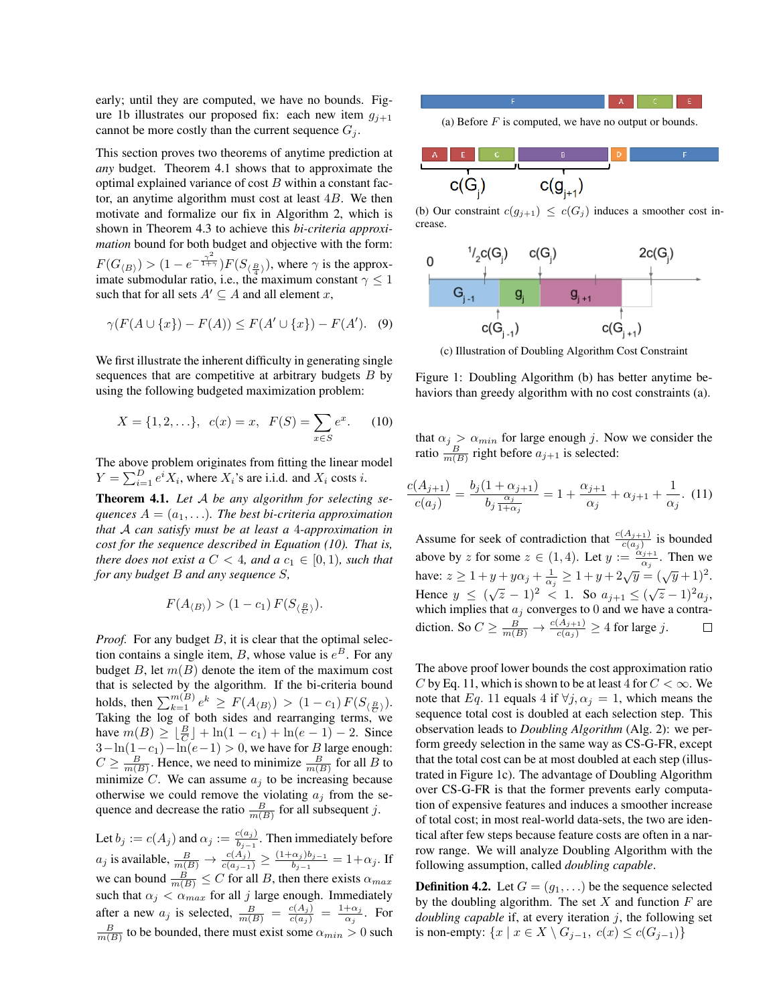early; until they are computed, we have no bounds. Figure 1b illustrates our proposed fix: each new item  $g_{i+1}$ cannot be more costly than the current sequence  $G_j$ .

This section proves two theorems of anytime prediction at *any* budget. Theorem 4.1 shows that to approximate the optimal explained variance of cost  $B$  within a constant factor, an anytime algorithm must cost at least  $4B$ . We then motivate and formalize our fix in Algorithm 2, which is shown in Theorem 4.3 to achieve this *bi-criteria approximation* bound for both budget and objective with the form:  $F(G_{\langle B \rangle}) > (1 - e^{-\frac{\gamma^2}{1 + \gamma}})F(S_{\langle \frac{B}{4} \rangle})$ , where  $\gamma$  is the approximate submodular ratio, i.e., the maximum constant  $\gamma \leq 1$ such that for all sets  $A' \subseteq A$  and all element x,

$$
\gamma(F(A \cup \{x\}) - F(A)) \le F(A' \cup \{x\}) - F(A'). \quad (9)
$$

We first illustrate the inherent difficulty in generating single sequences that are competitive at arbitrary budgets  $B$  by using the following budgeted maximization problem:

$$
X = \{1, 2, \ldots\}, \ c(x) = x, \ F(S) = \sum_{x \in S} e^x. \tag{10}
$$

The above problem originates from fitting the linear model  $Y = \sum_{i=1}^{D} e^{i} X_i$ , where  $X_i$ 's are i.i.d. and  $X_i$  costs i.

Theorem 4.1. *Let* A *be any algorithm for selecting sequences*  $A = (a_1, \ldots)$ *. The best bi-criteria approximation that* A *can satisfy must be at least a* 4*-approximation in cost for the sequence described in Equation (10). That is, there does not exist a*  $C < 4$ *, and a*  $c_1 \in [0, 1)$ *, such that for any budget* B *and any sequence* S*,*

$$
F(A_{\langle B \rangle}) > (1 - c_1) F(S_{\langle \frac{B}{C} \rangle}).
$$

*Proof.* For any budget B, it is clear that the optimal selection contains a single item, B, whose value is  $e^{B}$ . For any budget B, let  $m(B)$  denote the item of the maximum cost that is selected by the algorithm. If the bi-criteria bound holds, then  $\sum_{k=1}^{m(B)} e^k \ge F(A_{\langle B \rangle}) > (1-c_1) F(S_{\langle \frac{B}{C} \rangle}).$ Taking the log of both sides and rearranging terms, we have  $m(B) \geq \lfloor \frac{B}{C} \rfloor + \ln(1 - c_1) + \ln(e - 1) - 2$ . Since  $3-\ln(1-c_1)-\ln(e-1) > 0$ , we have for B large enough:  $C \ge \frac{B}{m(B)}$ . Hence, we need to minimize  $\frac{B}{m(B)}$  for all B to minimize C. We can assume  $a_i$  to be increasing because otherwise we could remove the violating  $a_j$  from the sequence and decrease the ratio  $\frac{B}{m(B)}$  for all subsequent j.

Let  $b_j := c(A_j)$  and  $\alpha_j := \frac{c(a_j)}{b_{j-1}}$  $\frac{b_{i-1}}{b_{i-1}}$ . Then immediately before  $a_j$  is available,  $\frac{B}{m(B)} \to \frac{c(A_j)}{c(a_{j-1})} \geq \frac{(1+\alpha_j)b_{j-1}}{b_{j-1}}$  $\frac{\alpha_j}{b_{j-1}}=1+\alpha_j$ . If we can bound  $\frac{B}{m(B)} \le C$  for all B, then there exists  $\alpha_{max}$ such that  $\alpha_j < \alpha_{max}$  for all j large enough. Immediately after a new  $a_j$  is selected,  $\frac{B}{m(B)} = \frac{c(A_j)}{c(a_j)} = \frac{1+\alpha_j}{\alpha_j}$  $rac{\alpha_j}{\alpha_j}$ . For  $\frac{B}{m(B)}$  to be bounded, there must exist some  $\alpha_{min} > 0$  such (a) Before  $F$  is computed, we have no output or bounds.



(b) Our constraint  $c(g_{j+1}) \leq c(G_j)$  induces a smoother cost increase.



(c) Illustration of Doubling Algorithm Cost Constraint

Figure 1: Doubling Algorithm (b) has better anytime behaviors than greedy algorithm with no cost constraints (a).

that  $\alpha_j > \alpha_{min}$  for large enough j. Now we consider the ratio  $\frac{B}{m(B)}$  right before  $a_{j+1}$  is selected:

$$
\frac{c(A_{j+1})}{c(a_j)} = \frac{b_j(1+\alpha_{j+1})}{b_j \frac{\alpha_j}{1+\alpha_j}} = 1 + \frac{\alpha_{j+1}}{\alpha_j} + \alpha_{j+1} + \frac{1}{\alpha_j}.
$$
 (11)

Assume for seek of contradiction that  $\frac{c(A_{j+1})}{c(a_j)}$  is bounded above by z for some  $z \in (1, 4)$ . Let  $y := \frac{\alpha_{j+1}}{\alpha_j}$  $\frac{\alpha_j+1}{\alpha_j}$ . Then we have:  $z \ge 1 + y + y\alpha_j + \frac{1}{\alpha_j} \ge 1 + y + 2\sqrt{y} = (\sqrt{y} + 1)^2$ . Hence  $y \le (\sqrt{z} - 1)^2 < 1$ . So  $a_{j+1} \le (\sqrt{z} - 1)^2 a_j$ , which implies that  $a_j$  converges to 0 and we have a contradiction. So  $C \ge \frac{B}{m(B)} \to \frac{c(A_{j+1})}{c(a_j)} \ge 4$  for large j.

The above proof lower bounds the cost approximation ratio C by Eq. 11, which is shown to be at least 4 for  $C < \infty$ . We note that Eq. 11 equals 4 if  $\forall j, \alpha_j = 1$ , which means the sequence total cost is doubled at each selection step. This observation leads to *Doubling Algorithm* (Alg. 2): we perform greedy selection in the same way as CS-G-FR, except that the total cost can be at most doubled at each step (illustrated in Figure 1c). The advantage of Doubling Algorithm over CS-G-FR is that the former prevents early computation of expensive features and induces a smoother increase of total cost; in most real-world data-sets, the two are identical after few steps because feature costs are often in a narrow range. We will analyze Doubling Algorithm with the following assumption, called *doubling capable*.

**Definition 4.2.** Let  $G = (g_1, \ldots)$  be the sequence selected by the doubling algorithm. The set  $X$  and function  $F$  are *doubling capable* if, at every iteration j, the following set is non-empty:  $\{x \mid x \in X \setminus G_{j-1}, c(x) \le c(G_{j-1})\}$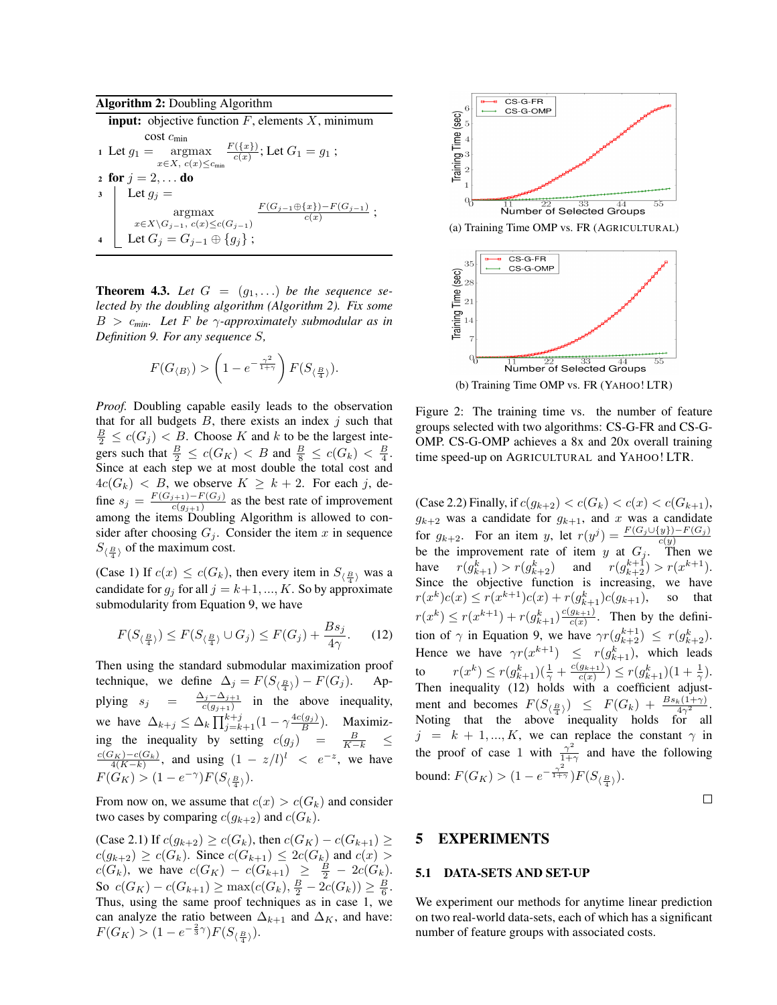| <b>Algorithm 2:</b> Doubling Algorithm                                                                   |  |  |  |  |  |  |
|----------------------------------------------------------------------------------------------------------|--|--|--|--|--|--|
| <b>input:</b> objective function $F$ , elements $X$ , minimum                                            |  |  |  |  |  |  |
| $\cos t$ $c_{\min}$                                                                                      |  |  |  |  |  |  |
| ı Let $g_1=\mathop{\rm argmax}\limits_{x\in X,~c(x)\leq c_{\min}}\frac{F(\{x\})}{c(x)};$ Let $G_1=g_1$ ; |  |  |  |  |  |  |
| 2 for $j = 2, $ do                                                                                       |  |  |  |  |  |  |
| $\Box$ Let $g_j =$                                                                                       |  |  |  |  |  |  |
| $\frac{F(G_{j-1}\oplus \{x\})-F(G_{j-1})}{c(x)}$ ;<br>argmax                                             |  |  |  |  |  |  |
|                                                                                                          |  |  |  |  |  |  |
| $x \in X \backslash G_{j-1}, c(x) \le c(G_{j-1})$<br>Let $G_j = G_{j-1} \oplus \{g_j\}$ ;                |  |  |  |  |  |  |

**Theorem 4.3.** Let  $G = (g_1, \ldots)$  be the sequence se*lected by the doubling algorithm (Algorithm 2). Fix some*  $B > c_{min}$ *. Let F be*  $\gamma$ -*approximately submodular as in Definition 9. For any sequence* S*,*

$$
F(G_{\langle B \rangle}) > \left(1 - e^{-\frac{\gamma^2}{1+\gamma}}\right) F(S_{\langle \frac{B}{4} \rangle}).
$$

*Proof.* Doubling capable easily leads to the observation that for all budgets  $B$ , there exists an index  $j$  such that  $\frac{B}{2} \leq c(G_j) < B$ . Choose K and k to be the largest integers such that  $\frac{B}{2} \leq c(G_K) < B$  and  $\frac{B}{8} \leq c(G_k) < \frac{B}{4}$ . Since at each step we at most double the total cost and  $4c(G_k)$  < B, we observe  $K \geq k+2$ . For each j, define  $s_j = \frac{F(G_{j+1}) - F(G_j)}{c(g_{j+1})}$  $\frac{c(g_{j+1})-F(G_j)}{c(g_{j+1})}$  as the best rate of improvement among the items Doubling Algorithm is allowed to consider after choosing  $G_j$ . Consider the item x in sequence  $S_{\langle \frac{B}{4} \rangle}$  of the maximum cost.

(Case 1) If  $c(x) \leq c(G_k)$ , then every item in  $S_{\langle \frac{B}{4} \rangle}$  was a candidate for  $g_i$  for all  $j = k+1, ..., K$ . So by approximate submodularity from Equation 9, we have

$$
F(S_{\langle \frac{B}{4} \rangle}) \le F(S_{\langle \frac{B}{4} \rangle} \cup G_j) \le F(G_j) + \frac{Bs_j}{4\gamma}.
$$
 (12)

Then using the standard submodular maximization proof technique, we define  $\Delta_j = F(S_{\langle \frac{B}{4} \rangle}) - F(G_j)$ . Applying  $s_j = \frac{\Delta_j - \Delta_{j+1}}{c(a_{j+1})}$  in the  $\frac{\Delta_j - \Delta_{j+1}}{c(g_{j+1})}$  in the above inequality, we have  $\Delta_{k+j} \leq \Delta_k \prod_{j=k+1}^{k+j} (1 - \gamma \frac{4c(g_j)}{B})$ . Maximizing the inequality by setting  $c(g_j) = \frac{B}{K-k} \leq$  $\frac{c(G_K)-c(G_k)}{4(K-k)}$ , and using  $(1 - z/l)^l < e^{-z}$ , we have  $F(G_K) > (1 - e^{-\gamma})F(S_{\langle \frac{B}{4} \rangle}).$ 

From now on, we assume that  $c(x) > c(G_k)$  and consider two cases by comparing  $c(g_{k+2})$  and  $c(G_k)$ .

(Case 2.1) If  $c(g_{k+2}) \ge c(G_k)$ , then  $c(G_K) - c(G_{k+1}) \ge c(G_K)$  $c(g_{k+2}) \geq c(G_k)$ . Since  $c(G_{k+1}) \leq 2c(G_k)$  and  $c(x) >$  $c(G_k)$ , we have  $c(G_K) - c(G_{k+1}) \geq \frac{B}{2} - 2c(G_k)$ . So  $c(G_K) - c(G_{k+1}) \ge \max(c(G_k), \frac{B}{2} - 2c(G_k)) \ge \frac{B}{6}.$ Thus, using the same proof techniques as in case 1, we can analyze the ratio between  $\Delta_{k+1}$  and  $\Delta_K$ , and have:  $F(G_K) > (1 - e^{-\frac{2}{3}\gamma})F(S_{\langle \frac{B}{4} \rangle}).$ 





Figure 2: The training time vs. the number of feature groups selected with two algorithms: CS-G-FR and CS-G-OMP. CS-G-OMP achieves a 8x and 20x overall training time speed-up on AGRICULTURAL and YAHOO! LTR.

(Case 2.2) Finally, if  $c(g_{k+2}) < c(G_k) < c(x) < c(G_{k+1}),$  $g_{k+2}$  was a candidate for  $g_{k+1}$ , and x was a candidate for  $g_{k+2}$ . For an item y, let  $r(y^j) = \frac{F(G_j \cup \{y\}) - F(G_j)}{c(y)}$ be the improvement rate of item y at  $G_j$ . Then we have  $r(g_{k+1}^k) > r(g_{k+2}^k)$  and  $r(g_{k+2}^{k+1}) > r(x^{k+1})$ . Since the objective function is increasing, we have  $r(x^k)c(x) \le r(x^{k+1})c(x) + r(g_{k+1}^k)c(g_{k+1}),$  so that  $r(x^k) \le r(x^{k+1}) + r(g_{k+1}^k) \frac{c(g_{k+1})}{c(x)}$ . Then by the definition of  $\gamma$  in Equation 9, we have  $\gamma r(g_{k+2}^{k+1}) \le r(g_{k+2}^k)$ . Hence we have  $\gamma r(x^{k+1}) \leq r(g_{k+1}^k)$ , which leads to  $r(x^k) \le r(g_{k+1}^k)(\frac{1}{\gamma} + \frac{c(g_{k+1})}{c(x)}) \le r(g_{k+1}^k)(1 + \frac{1}{\gamma}).$ Then inequality (12) holds with a coefficient adjustment and becomes  $F(S_{\langle \frac{B}{4} \rangle}) \leq F(G_k) + \frac{Bs_k(1+\gamma)}{4\gamma^2}$ . Noting that the above inequality holds for all  $j = k + 1, ..., K$ , we can replace the constant  $\gamma$  in the proof of case 1 with  $\frac{\gamma^2}{1+\gamma}$  $\frac{\gamma}{1+\gamma}$  and have the following bound:  $F(G_K) > (1 - e^{-\frac{\gamma^2}{1 + \gamma}})F(S_{\langle \frac{B}{4} \rangle}).$ 

 $\Box$ 

## 5 EXPERIMENTS

### 5.1 DATA-SETS AND SET-UP

We experiment our methods for anytime linear prediction on two real-world data-sets, each of which has a significant number of feature groups with associated costs.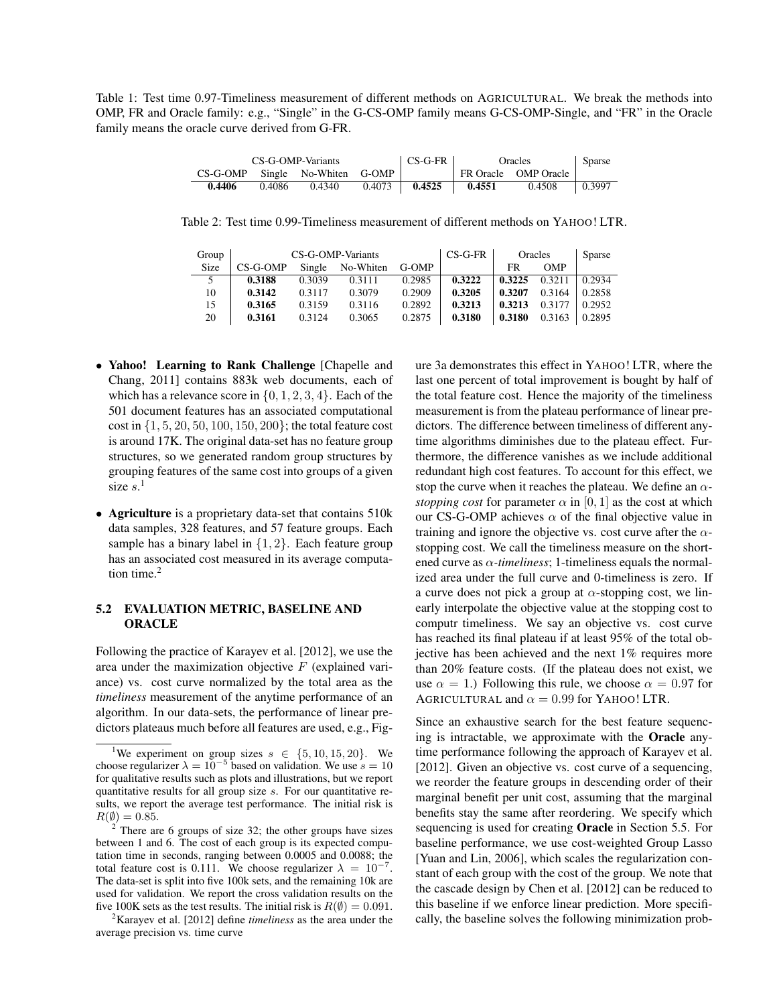Table 1: Test time 0.97-Timeliness measurement of different methods on AGRICULTURAL. We break the methods into OMP, FR and Oracle family: e.g., "Single" in the G-CS-OMP family means G-CS-OMP-Single, and "FR" in the Oracle family means the oracle curve derived from G-FR.

| CS-G-OMP-Variants               |        |        |        | $CS-G-FR$ | Oracles | Sparse               |        |
|---------------------------------|--------|--------|--------|-----------|---------|----------------------|--------|
| CS-G-OMP Single No-Whiten G-OMP |        |        |        |           |         | FR Oracle OMP Oracle |        |
| 0.4406                          | 0.4086 | 0.4340 | 0.4073 | 0.4525    | 0.4551  | 0.4508               | 0.3997 |

Table 2: Test time 0.99-Timeliness measurement of different methods on YAHOO! LTR.

| Group | CS-G-OMP-Variants |        |           |        | $CS-G-FR$ | Oracles |            | Sparse |
|-------|-------------------|--------|-----------|--------|-----------|---------|------------|--------|
| Size  | $CS-G-OMP$        | Single | No-Whiten | G-OMP  |           | FR      | <b>OMP</b> |        |
|       | 0.3188            | 0.3039 | 0.3111    | 0.2985 | 0.3222    | 0.3225  | 0.3211     | 0.2934 |
| 10    | 0.3142            | 0.3117 | 0.3079    | 0.2909 | 0.3205    | 0.3207  | 0.3164     | 0.2858 |
| 15    | 0.3165            | 0.3159 | 0.3116    | 0.2892 | 0.3213    | 0.3213  | 0.3177     | 0.2952 |
| 20    | 0.3161            | 0.3124 | 0.3065    | 0.2875 | 0.3180    | 0.3180  | 0.3163     | 0.2895 |

- Yahoo! Learning to Rank Challenge [Chapelle and Chang, 2011] contains 883k web documents, each of which has a relevance score in  $\{0, 1, 2, 3, 4\}$ . Each of the 501 document features has an associated computational cost in {1, 5, 20, 50, 100, 150, 200}; the total feature cost is around 17K. The original data-set has no feature group structures, so we generated random group structures by grouping features of the same cost into groups of a given size  $s$ <sup>1</sup>
- Agriculture is a proprietary data-set that contains 510k data samples, 328 features, and 57 feature groups. Each sample has a binary label in  $\{1, 2\}$ . Each feature group has an associated cost measured in its average computation time. $<sup>2</sup>$ </sup>

### 5.2 EVALUATION METRIC, BASELINE AND **ORACLE**

Following the practice of Karayev et al. [2012], we use the area under the maximization objective  $F$  (explained variance) vs. cost curve normalized by the total area as the *timeliness* measurement of the anytime performance of an algorithm. In our data-sets, the performance of linear predictors plateaus much before all features are used, e.g., Fig-

<sup>2</sup>Karayev et al. [2012] define *timeliness* as the area under the average precision vs. time curve

ure 3a demonstrates this effect in YAHOO! LTR, where the last one percent of total improvement is bought by half of the total feature cost. Hence the majority of the timeliness measurement is from the plateau performance of linear predictors. The difference between timeliness of different anytime algorithms diminishes due to the plateau effect. Furthermore, the difference vanishes as we include additional redundant high cost features. To account for this effect, we stop the curve when it reaches the plateau. We define an α*stopping cost* for parameter  $\alpha$  in [0, 1] as the cost at which our CS-G-OMP achieves  $\alpha$  of the final objective value in training and ignore the objective vs. cost curve after the  $\alpha$ stopping cost. We call the timeliness measure on the shortened curve as  $\alpha$ -*timeliness*; 1-timeliness equals the normalized area under the full curve and 0-timeliness is zero. If a curve does not pick a group at  $\alpha$ -stopping cost, we linearly interpolate the objective value at the stopping cost to computr timeliness. We say an objective vs. cost curve has reached its final plateau if at least 95% of the total objective has been achieved and the next 1% requires more than 20% feature costs. (If the plateau does not exist, we use  $\alpha = 1$ .) Following this rule, we choose  $\alpha = 0.97$  for AGRICULTURAL and  $\alpha = 0.99$  for YAHOO! LTR.

Since an exhaustive search for the best feature sequencing is intractable, we approximate with the Oracle anytime performance following the approach of Karayev et al. [2012]. Given an objective vs. cost curve of a sequencing, we reorder the feature groups in descending order of their marginal benefit per unit cost, assuming that the marginal benefits stay the same after reordering. We specify which sequencing is used for creating Oracle in Section 5.5. For baseline performance, we use cost-weighted Group Lasso [Yuan and Lin, 2006], which scales the regularization constant of each group with the cost of the group. We note that the cascade design by Chen et al. [2012] can be reduced to this baseline if we enforce linear prediction. More specifically, the baseline solves the following minimization prob-

<sup>&</sup>lt;sup>1</sup>We experiment on group sizes  $s \in \{5, 10, 15, 20\}$ . We choose regularizer  $\lambda = 10^{-5}$  based on validation. We use  $s = 10$ for qualitative results such as plots and illustrations, but we report quantitative results for all group size s. For our quantitative results, we report the average test performance. The initial risk is  $R(\emptyset) = 0.85.$ 

There are 6 groups of size 32; the other groups have sizes between 1 and 6. The cost of each group is its expected computation time in seconds, ranging between 0.0005 and 0.0088; the total feature cost is 0.111. We choose regularizer  $\lambda = 10^{-7}$ . The data-set is split into five 100k sets, and the remaining 10k are used for validation. We report the cross validation results on the five 100K sets as the test results. The initial risk is  $R(\emptyset) = 0.091$ .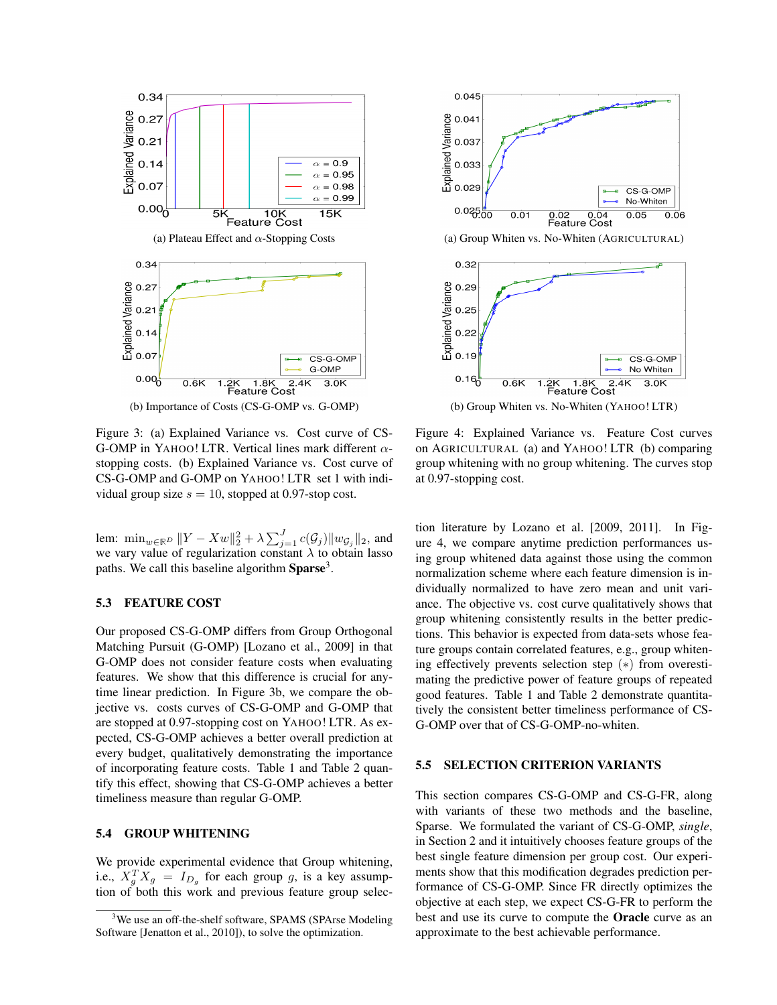

Figure 3: (a) Explained Variance vs. Cost curve of CS-G-OMP in YAHOO! LTR. Vertical lines mark different  $\alpha$ stopping costs. (b) Explained Variance vs. Cost curve of CS-G-OMP and G-OMP on YAHOO! LTR set 1 with individual group size  $s = 10$ , stopped at 0.97-stop cost.

lem:  $\min_{w \in \mathbb{R}^D} ||Y - Xw||_2^2 + \lambda \sum_{j=1}^J c(\mathcal{G}_j) ||w_{\mathcal{G}_j}||_2$ , and we vary value of regularization constant  $\lambda$  to obtain lasso paths. We call this baseline algorithm Sparse<sup>3</sup>.

#### 5.3 FEATURE COST

Our proposed CS-G-OMP differs from Group Orthogonal Matching Pursuit (G-OMP) [Lozano et al., 2009] in that G-OMP does not consider feature costs when evaluating features. We show that this difference is crucial for anytime linear prediction. In Figure 3b, we compare the objective vs. costs curves of CS-G-OMP and G-OMP that are stopped at 0.97-stopping cost on YAHOO! LTR. As expected, CS-G-OMP achieves a better overall prediction at every budget, qualitatively demonstrating the importance of incorporating feature costs. Table 1 and Table 2 quantify this effect, showing that CS-G-OMP achieves a better timeliness measure than regular G-OMP.

#### 5.4 GROUP WHITENING

We provide experimental evidence that Group whitening, i.e.,  $X_g^T X_g = I_{D_g}$  for each group g, is a key assumption of both this work and previous feature group selec-



(a) Group Whiten vs. No-Whiten (AGRICULTURAL)



Figure 4: Explained Variance vs. Feature Cost curves on AGRICULTURAL (a) and YAHOO! LTR (b) comparing group whitening with no group whitening. The curves stop at 0.97-stopping cost.

tion literature by Lozano et al. [2009, 2011]. In Figure 4, we compare anytime prediction performances using group whitened data against those using the common normalization scheme where each feature dimension is individually normalized to have zero mean and unit variance. The objective vs. cost curve qualitatively shows that group whitening consistently results in the better predictions. This behavior is expected from data-sets whose feature groups contain correlated features, e.g., group whitening effectively prevents selection step (∗) from overestimating the predictive power of feature groups of repeated good features. Table 1 and Table 2 demonstrate quantitatively the consistent better timeliness performance of CS-G-OMP over that of CS-G-OMP-no-whiten.

### 5.5 SELECTION CRITERION VARIANTS

This section compares CS-G-OMP and CS-G-FR, along with variants of these two methods and the baseline, Sparse. We formulated the variant of CS-G-OMP, *single*, in Section 2 and it intuitively chooses feature groups of the best single feature dimension per group cost. Our experiments show that this modification degrades prediction performance of CS-G-OMP. Since FR directly optimizes the objective at each step, we expect CS-G-FR to perform the best and use its curve to compute the Oracle curve as an approximate to the best achievable performance.

<sup>&</sup>lt;sup>3</sup>We use an off-the-shelf software, SPAMS (SPArse Modeling Software [Jenatton et al., 2010]), to solve the optimization.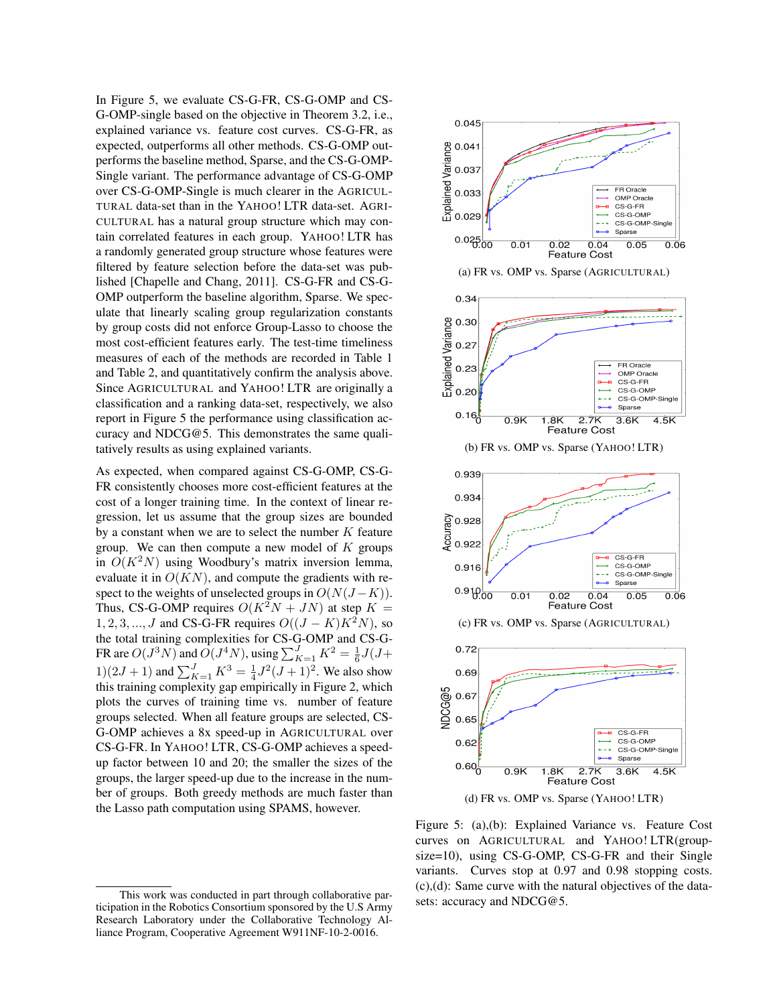In Figure 5, we evaluate CS-G-FR, CS-G-OMP and CS-G-OMP-single based on the objective in Theorem 3.2, i.e., explained variance vs. feature cost curves. CS-G-FR, as expected, outperforms all other methods. CS-G-OMP outperforms the baseline method, Sparse, and the CS-G-OMP-Single variant. The performance advantage of CS-G-OMP over CS-G-OMP-Single is much clearer in the AGRICUL-TURAL data-set than in the YAHOO! LTR data-set. AGRI-CULTURAL has a natural group structure which may contain correlated features in each group. YAHOO! LTR has a randomly generated group structure whose features were filtered by feature selection before the data-set was published [Chapelle and Chang, 2011]. CS-G-FR and CS-G-OMP outperform the baseline algorithm, Sparse. We speculate that linearly scaling group regularization constants by group costs did not enforce Group-Lasso to choose the most cost-efficient features early. The test-time timeliness measures of each of the methods are recorded in Table 1 and Table 2, and quantitatively confirm the analysis above. Since AGRICULTURAL and YAHOO! LTR are originally a classification and a ranking data-set, respectively, we also report in Figure 5 the performance using classification accuracy and NDCG@5. This demonstrates the same qualitatively results as using explained variants.

As expected, when compared against CS-G-OMP, CS-G-FR consistently chooses more cost-efficient features at the cost of a longer training time. In the context of linear regression, let us assume that the group sizes are bounded by a constant when we are to select the number  $K$  feature group. We can then compute a new model of  $K$  groups in  $O(K^2N)$  using Woodbury's matrix inversion lemma, evaluate it in  $O(KN)$ , and compute the gradients with respect to the weights of unselected groups in  $O(N(J-K))$ . Thus, CS-G-OMP requires  $O(K^2N + JN)$  at step  $K =$ 1, 2, 3, ..., *J* and CS-G-FR requires  $O((J - K)K^2N)$ , so the total training complexities for CS-G-OMP and CS-G-FR are  $O(J^3N)$  and  $O(J^4N)$ , using  $\sum_{K=1}^{J} K^2 = \frac{1}{6}J(J +$  $1(2J+1)$  and  $\sum_{K=1}^{J} K^3 = \frac{1}{4}J^2(J+1)^2$ . We also show this training complexity gap empirically in Figure 2, which plots the curves of training time vs. number of feature groups selected. When all feature groups are selected, CS-G-OMP achieves a 8x speed-up in AGRICULTURAL over CS-G-FR. In YAHOO! LTR, CS-G-OMP achieves a speedup factor between 10 and 20; the smaller the sizes of the groups, the larger speed-up due to the increase in the number of groups. Both greedy methods are much faster than the Lasso path computation using SPAMS, however.



Figure 5: (a),(b): Explained Variance vs. Feature Cost curves on AGRICULTURAL and YAHOO! LTR(groupsize=10), using CS-G-OMP, CS-G-FR and their Single variants. Curves stop at 0.97 and 0.98 stopping costs. (c),(d): Same curve with the natural objectives of the datasets: accuracy and NDCG@5.

This work was conducted in part through collaborative participation in the Robotics Consortium sponsored by the U.S Army Research Laboratory under the Collaborative Technology Alliance Program, Cooperative Agreement W911NF-10-2-0016.